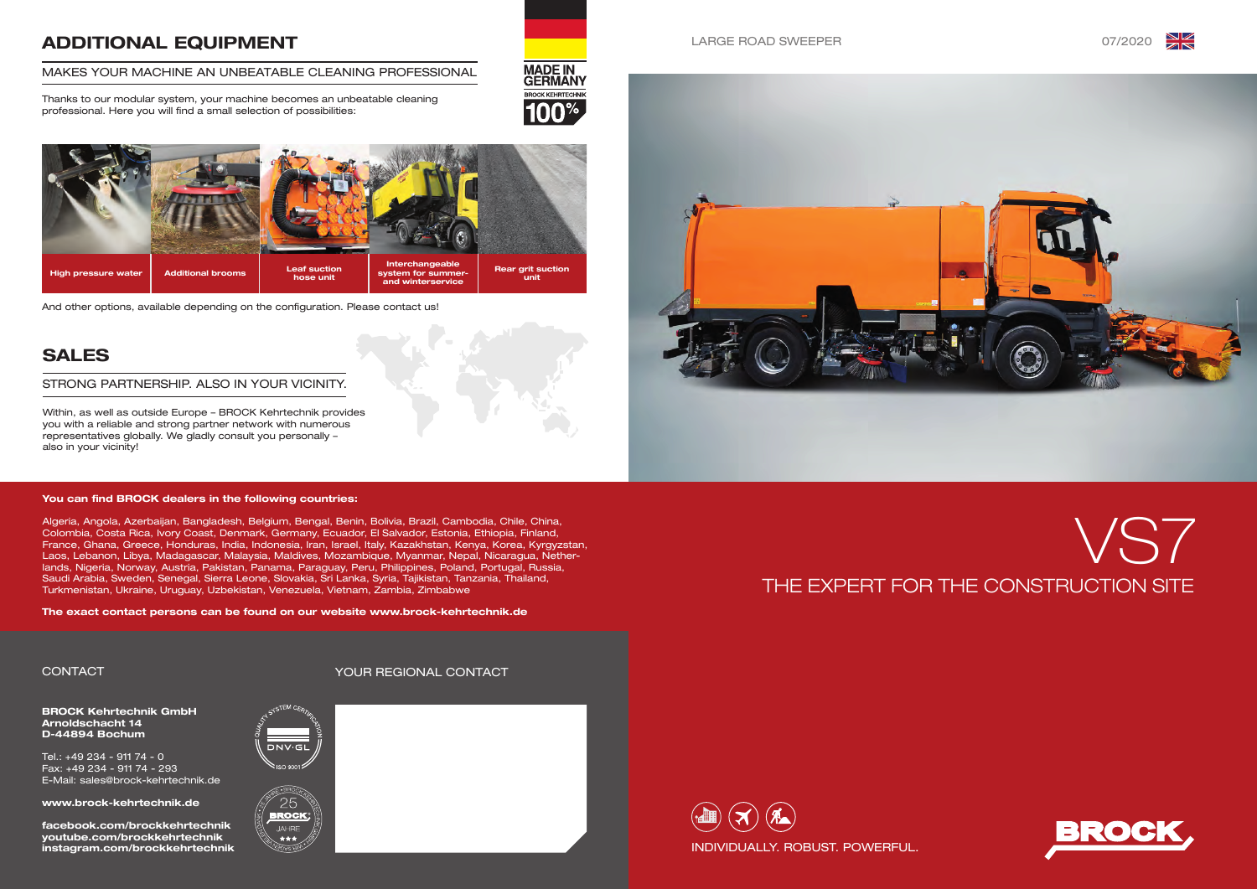





#### LARGE ROAD SWEEPER 07/2020

**MADE IN<br>GERMANY BROCK KEHRTECHNIK** 







BROCK Kehrtechnik GmbH Arnoldschacht 14 D-44894 Bochum

Tel.: +49 234 - 911 74 - 0 Fax: +49 234 - 911 74 - 293 E-Mail: sales@brock-kehrtechnik.de

www.brock-kehrtechnik.de

facebook.com/brockkehrtechnik youtube.com/brockkehrtechnik instagram.com/brockkehrtechnik

# ADDITIONAL EQUIPMENT

#### MAKES YOUR MACHINE AN UNBEATABLE CLEANING PROFESSIONAL

Thanks to our modular system, your machine becomes an unbeatable cleaning professional. Here you will find a small selection of possibilities:



# SALES

Within, as well as outside Europe – BROCK Kehrtechnik provides you with a reliable and strong partner network with numerous representatives globally. We gladly consult you personally – also in your vicinity!

#### STRONG PARTNERSHIP. ALSO IN YOUR VICINITY.

# CONTACT YOUR REGIONAL CONTACT













And other options, available depending on the configuration. Please contact us!

#### You can find BROCK dealers in the following countries:

Algeria, Angola, Azerbaijan, Bangladesh, Belgium, Bengal, Benin, Bolivia, Brazil, Cambodia, Chile, China, Colombia, Costa Rica, Ivory Coast, Denmark, Germany, Ecuador, El Salvador, Estonia, Ethiopia, Finland, France, Ghana, Greece, Honduras, India, Indonesia, Iran, Israel, Italy, Kazakhstan, Kenya, Korea, Kyrgyzstan, Laos, Lebanon, Libya, Madagascar, Malaysia, Maldives, Mozambique, Myanmar, Nepal, Nicaragua, Netherlands, Nigeria, Norway, Austria, Pakistan, Panama, Paraguay, Peru, Philippines, Poland, Portugal, Russia, Saudi Arabia, Sweden, Senegal, Sierra Leone, Slovakia, Sri Lanka, Syria, Tajikistan, Tanzania, Thailand, Turkmenistan, Ukraine, Uruguay, Uzbekistan, Venezuela, Vietnam, Zambia, Zimbabwe

The exact contact persons can be found on our website www.brock-kehrtechnik.de